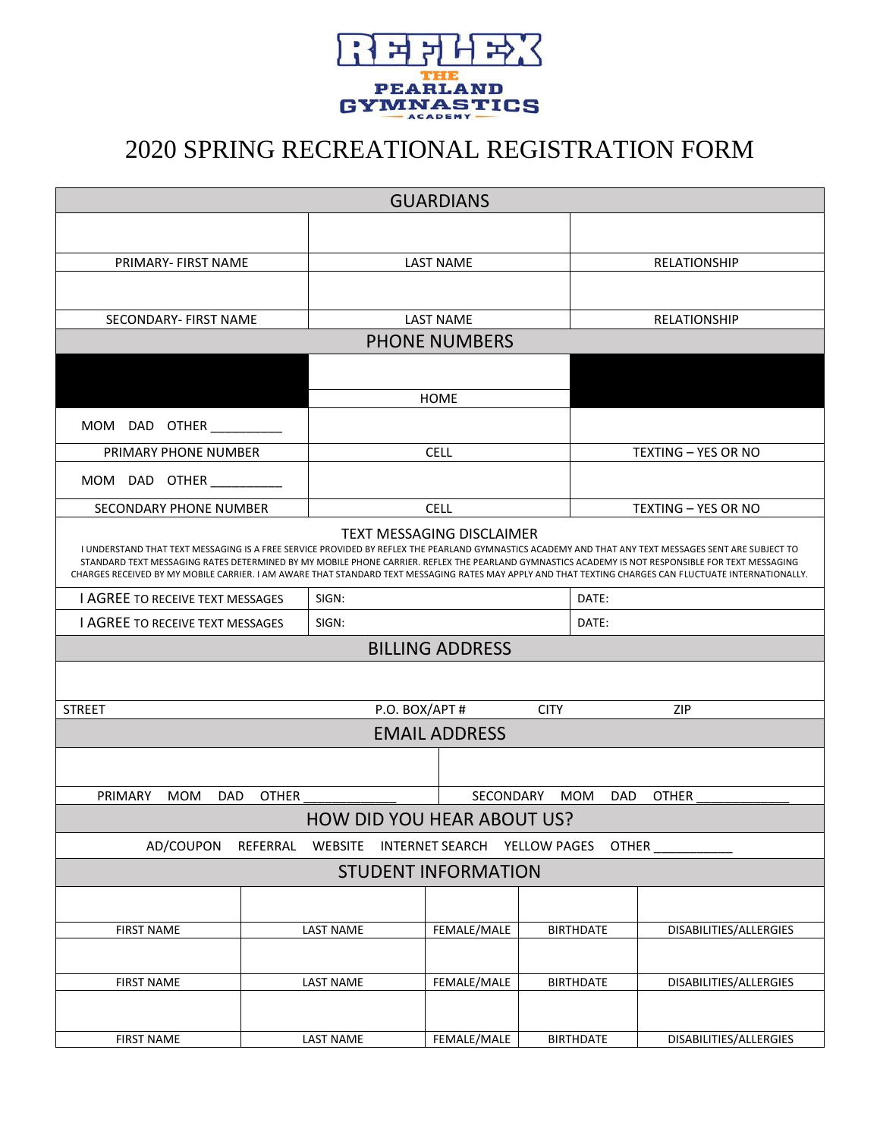

## 2020 SPRING RECREATIONAL REGISTRATION FORM

| <b>GUARDIANS</b>                                                                                                                                                                                                                                                                                                                                                                                                                                                                                        |                               |                                   |                                 |                            |                     |                        |  |
|---------------------------------------------------------------------------------------------------------------------------------------------------------------------------------------------------------------------------------------------------------------------------------------------------------------------------------------------------------------------------------------------------------------------------------------------------------------------------------------------------------|-------------------------------|-----------------------------------|---------------------------------|----------------------------|---------------------|------------------------|--|
|                                                                                                                                                                                                                                                                                                                                                                                                                                                                                                         |                               |                                   |                                 |                            |                     |                        |  |
| PRIMARY- FIRST NAME                                                                                                                                                                                                                                                                                                                                                                                                                                                                                     |                               | <b>LAST NAME</b>                  |                                 |                            | RELATIONSHIP        |                        |  |
|                                                                                                                                                                                                                                                                                                                                                                                                                                                                                                         |                               |                                   |                                 |                            |                     |                        |  |
| SECONDARY- FIRST NAME                                                                                                                                                                                                                                                                                                                                                                                                                                                                                   | <b>LAST NAME</b>              |                                   |                                 | <b>RELATIONSHIP</b>        |                     |                        |  |
| <b>PHONE NUMBERS</b>                                                                                                                                                                                                                                                                                                                                                                                                                                                                                    |                               |                                   |                                 |                            |                     |                        |  |
|                                                                                                                                                                                                                                                                                                                                                                                                                                                                                                         |                               |                                   | <b>HOME</b>                     |                            |                     |                        |  |
| MOM<br>DAD<br><b>OTHER</b>                                                                                                                                                                                                                                                                                                                                                                                                                                                                              |                               |                                   |                                 |                            |                     |                        |  |
| PRIMARY PHONE NUMBER                                                                                                                                                                                                                                                                                                                                                                                                                                                                                    |                               | <b>CELL</b>                       |                                 |                            | TEXTING - YES OR NO |                        |  |
| DAD OTHER<br>MOM                                                                                                                                                                                                                                                                                                                                                                                                                                                                                        |                               |                                   |                                 |                            |                     |                        |  |
| SECONDARY PHONE NUMBER                                                                                                                                                                                                                                                                                                                                                                                                                                                                                  | <b>CELL</b>                   |                                   |                                 | <b>TEXTING - YES OR NO</b> |                     |                        |  |
| <b>TEXT MESSAGING DISCLAIMER</b><br>I UNDERSTAND THAT TEXT MESSAGING IS A FREE SERVICE PROVIDED BY REFLEX THE PEARLAND GYMNASTICS ACADEMY AND THAT ANY TEXT MESSAGES SENT ARE SUBJECT TO<br>STANDARD TEXT MESSAGING RATES DETERMINED BY MY MOBILE PHONE CARRIER. REFLEX THE PEARLAND GYMNASTICS ACADEMY IS NOT RESPONSIBLE FOR TEXT MESSAGING<br>CHARGES RECEIVED BY MY MOBILE CARRIER. I AM AWARE THAT STANDARD TEXT MESSAGING RATES MAY APPLY AND THAT TEXTING CHARGES CAN FLUCTUATE INTERNATIONALLY. |                               |                                   |                                 |                            |                     |                        |  |
| I AGREE TO RECEIVE TEXT MESSAGES                                                                                                                                                                                                                                                                                                                                                                                                                                                                        | SIGN:                         |                                   |                                 | DATE:                      |                     |                        |  |
| I AGREE TO RECEIVE TEXT MESSAGES                                                                                                                                                                                                                                                                                                                                                                                                                                                                        |                               | SIGN:                             |                                 |                            | DATE:               |                        |  |
|                                                                                                                                                                                                                                                                                                                                                                                                                                                                                                         | <b>BILLING ADDRESS</b>        |                                   |                                 |                            |                     |                        |  |
|                                                                                                                                                                                                                                                                                                                                                                                                                                                                                                         |                               |                                   |                                 |                            |                     |                        |  |
| <b>STREET</b>                                                                                                                                                                                                                                                                                                                                                                                                                                                                                           | P.O. BOX/APT #<br><b>CITY</b> |                                   |                                 | ZIP                        |                     |                        |  |
| <b>EMAIL ADDRESS</b>                                                                                                                                                                                                                                                                                                                                                                                                                                                                                    |                               |                                   |                                 |                            |                     |                        |  |
|                                                                                                                                                                                                                                                                                                                                                                                                                                                                                                         |                               |                                   |                                 |                            |                     |                        |  |
| PRIMARY<br><b>OTHER</b><br>SECONDARY<br><b>OTHER</b><br><b>MOM</b><br><b>DAD</b><br><b>MOM</b><br><b>DAD</b>                                                                                                                                                                                                                                                                                                                                                                                            |                               |                                   |                                 |                            |                     |                        |  |
|                                                                                                                                                                                                                                                                                                                                                                                                                                                                                                         |                               | <b>HOW DID YOU HEAR ABOUT US?</b> |                                 |                            |                     |                        |  |
| AD/COUPON<br>REFERRAL<br>WEBSITE<br>INTERNET SEARCH YELLOW PAGES<br><b>OTHER</b>                                                                                                                                                                                                                                                                                                                                                                                                                        |                               |                                   |                                 |                            |                     |                        |  |
| <b>STUDENT INFORMATION</b>                                                                                                                                                                                                                                                                                                                                                                                                                                                                              |                               |                                   |                                 |                            |                     |                        |  |
|                                                                                                                                                                                                                                                                                                                                                                                                                                                                                                         |                               |                                   |                                 |                            |                     |                        |  |
| <b>FIRST NAME</b>                                                                                                                                                                                                                                                                                                                                                                                                                                                                                       |                               | LAST NAME                         | FEMALE/MALE<br><b>BIRTHDATE</b> |                            |                     | DISABILITIES/ALLERGIES |  |
|                                                                                                                                                                                                                                                                                                                                                                                                                                                                                                         |                               |                                   |                                 |                            |                     |                        |  |
| <b>FIRST NAME</b>                                                                                                                                                                                                                                                                                                                                                                                                                                                                                       |                               | LAST NAME                         | FEMALE/MALE                     |                            | <b>BIRTHDATE</b>    | DISABILITIES/ALLERGIES |  |
|                                                                                                                                                                                                                                                                                                                                                                                                                                                                                                         |                               |                                   |                                 |                            |                     |                        |  |
| <b>FIRST NAME</b>                                                                                                                                                                                                                                                                                                                                                                                                                                                                                       |                               | LAST NAME                         | FEMALE/MALE                     |                            | <b>BIRTHDATE</b>    | DISABILITIES/ALLERGIES |  |